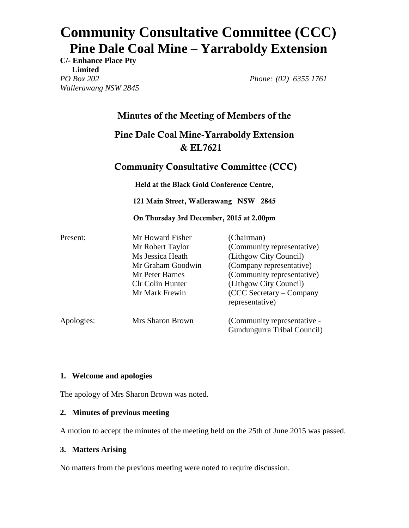# **Community Consultative Committee (CCC) Pine Dale Coal Mine – Yarraboldy Extension**

**C/- Enhance Place Pty Limited** *PO Box 202 Wallerawang NSW 2845*

*Phone: (02) 6355 1761*

## **Minutes of the Meeting of Members of the**

# **Pine Dale Coal Mine-Yarraboldy Extension & EL7621**

### **Community Consultative Committee (CCC)**

**Held at the Black Gold Conference Centre,** 

**121 Main Street, Wallerawang NSW 2845**

**On Thursday 3rd December, 2015 at 2.00pm** 

| Present:   | Mr Howard Fisher  | (Chairman)                  |
|------------|-------------------|-----------------------------|
|            | Mr Robert Taylor  | (Community representative)  |
|            | Ms Jessica Heath  | (Lithgow City Council)      |
|            | Mr Graham Goodwin | (Company representative)    |
|            | Mr Peter Barnes   | (Community representative)  |
|            | Clr Colin Hunter  | (Lithgow City Council)      |
|            | Mr Mark Frewin    | $(CCC$ Secretary – Company  |
|            |                   | representative)             |
| Apologies: | Mrs Sharon Brown  | (Community representative - |
|            |                   | Gundungurra Tribal Council) |

#### **1. Welcome and apologies**

The apology of Mrs Sharon Brown was noted.

#### **2. Minutes of previous meeting**

A motion to accept the minutes of the meeting held on the 25th of June 2015 was passed.

#### **3. Matters Arising**

No matters from the previous meeting were noted to require discussion.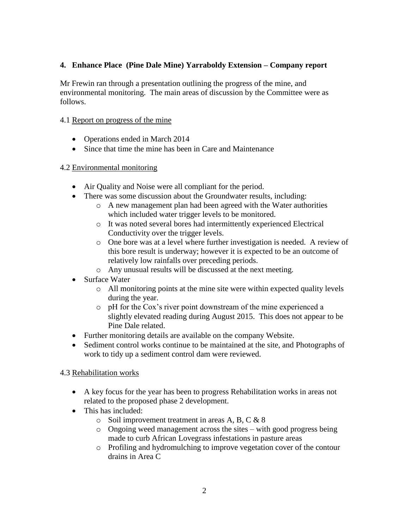#### **4. Enhance Place (Pine Dale Mine) Yarraboldy Extension – Company report**

Mr Frewin ran through a presentation outlining the progress of the mine, and environmental monitoring. The main areas of discussion by the Committee were as follows.

#### 4.1 Report on progress of the mine

- Operations ended in March 2014
- Since that time the mine has been in Care and Maintenance

#### 4.2 Environmental monitoring

- Air Quality and Noise were all compliant for the period.
- There was some discussion about the Groundwater results, including:
	- o A new management plan had been agreed with the Water authorities which included water trigger levels to be monitored.
	- o It was noted several bores had intermittently experienced Electrical Conductivity over the trigger levels.
	- o One bore was at a level where further investigation is needed. A review of this bore result is underway; however it is expected to be an outcome of relatively low rainfalls over preceding periods.
	- o Any unusual results will be discussed at the next meeting.
- Surface Water
	- o All monitoring points at the mine site were within expected quality levels during the year.
	- o pH for the Cox's river point downstream of the mine experienced a slightly elevated reading during August 2015. This does not appear to be Pine Dale related.
- Further monitoring details are available on the company Website.
- Sediment control works continue to be maintained at the site, and Photographs of work to tidy up a sediment control dam were reviewed.

#### 4.3 Rehabilitation works

- A key focus for the year has been to progress Rehabilitation works in areas not related to the proposed phase 2 development.
- This has included:
	- o Soil improvement treatment in areas A, B, C & 8
	- o Ongoing weed management across the sites with good progress being made to curb African Lovegrass infestations in pasture areas
	- o Profiling and hydromulching to improve vegetation cover of the contour drains in Area C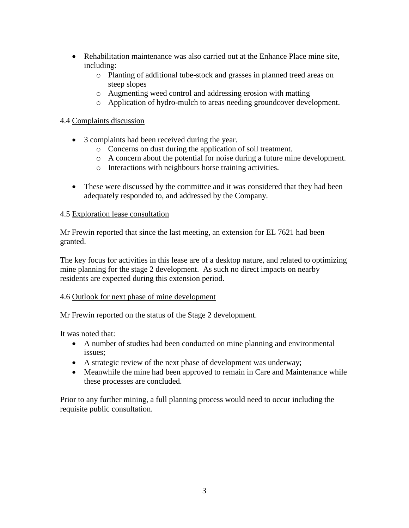- Rehabilitation maintenance was also carried out at the Enhance Place mine site, including:
	- o Planting of additional tube-stock and grasses in planned treed areas on steep slopes
	- o Augmenting weed control and addressing erosion with matting
	- o Application of hydro-mulch to areas needing groundcover development.

#### 4.4 Complaints discussion

- 3 complaints had been received during the year.
	- o Concerns on dust during the application of soil treatment.
	- o A concern about the potential for noise during a future mine development.
	- o Interactions with neighbours horse training activities.
- These were discussed by the committee and it was considered that they had been adequately responded to, and addressed by the Company.

#### 4.5 Exploration lease consultation

Mr Frewin reported that since the last meeting, an extension for EL 7621 had been granted.

The key focus for activities in this lease are of a desktop nature, and related to optimizing mine planning for the stage 2 development. As such no direct impacts on nearby residents are expected during this extension period.

#### 4.6 Outlook for next phase of mine development

Mr Frewin reported on the status of the Stage 2 development.

It was noted that:

- A number of studies had been conducted on mine planning and environmental issues;
- A strategic review of the next phase of development was underway;
- Meanwhile the mine had been approved to remain in Care and Maintenance while these processes are concluded.

Prior to any further mining, a full planning process would need to occur including the requisite public consultation.